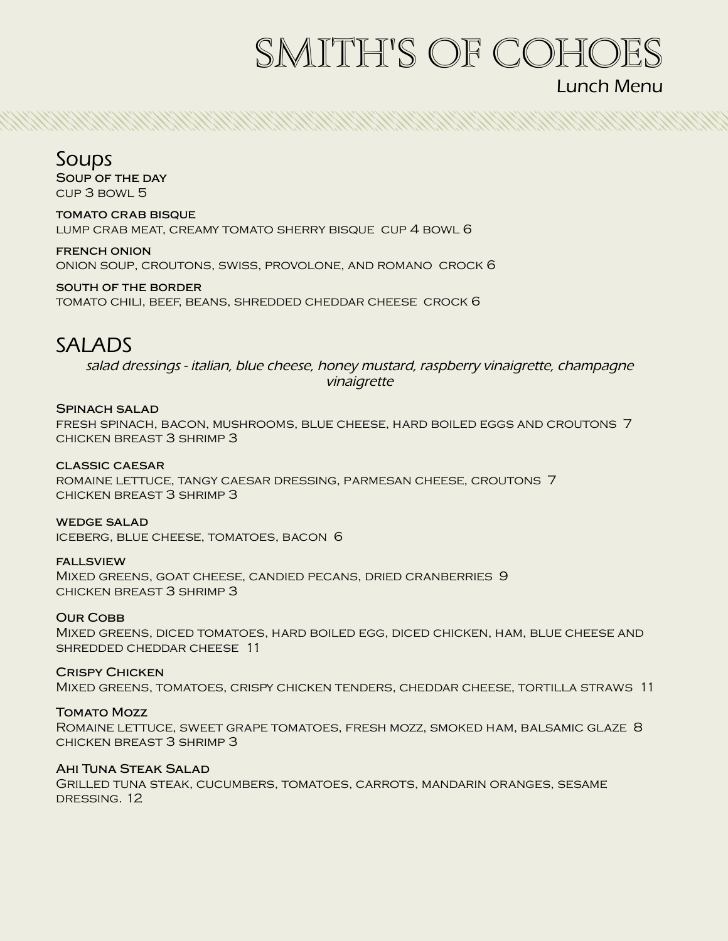# SMITH'S OF COHOES

## Lunch Menu

## Soups

**Soup of the day** cup 3 bowl 5

**tomato crab bisque** lump crab meat, creamy tomato sherry bisque cup 4 bowl 6

**french onion** onion soup, croutons, swiss, provolone, and romano crock 6

**south of the border** tomato chili, beef, beans, shredded cheddar cheese crock 6

# SALADS

*salad dressings - italian, blue cheese, honey mustard, raspberry vinaigrette, champagne vinaigrette*

ANNA SEARCH AG AN AIR AN DEASAIR AN DEASAIR AG AN DEASAIR AG AN DEASAIR AG AN DEASAIR AG AN DEASAIR AG AIR AN D

#### **Spinach salad** fresh spinach, bacon, mushrooms, blue cheese, hard boiled eggs and croutons 7 chicken breast 3 shrimp 3

**classic caesar** romaine lettuce, tangy caesar dressing, parmesan cheese, croutons 7 chicken breast 3 shrimp 3

**wedge salad** iceberg, blue cheese, tomatoes, bacon 6

#### **fallsview** Mixed greens, goat cheese, candied pecans, dried cranberries 9 chicken breast 3 shrimp 3

**OUR COBB** Mixed greens, diced tomatoes, hard boiled egg, diced chicken, ham, blue cheese and shredded cheddar cheese 11

**Crispy Chicken** Mixed greens, tomatoes, crispy chicken tenders, cheddar cheese, tortilla straws 11

#### **Tomato Mozz**

Romaine lettuce, sweet grape tomatoes, fresh mozz, smoked ham, balsamic glaze 8 chicken breast 3 shrimp 3

#### **Ahi Tuna Steak Salad**

Grilled tuna steak, cucumbers, tomatoes, carrots, mandarin oranges, sesame DRESSING. 12